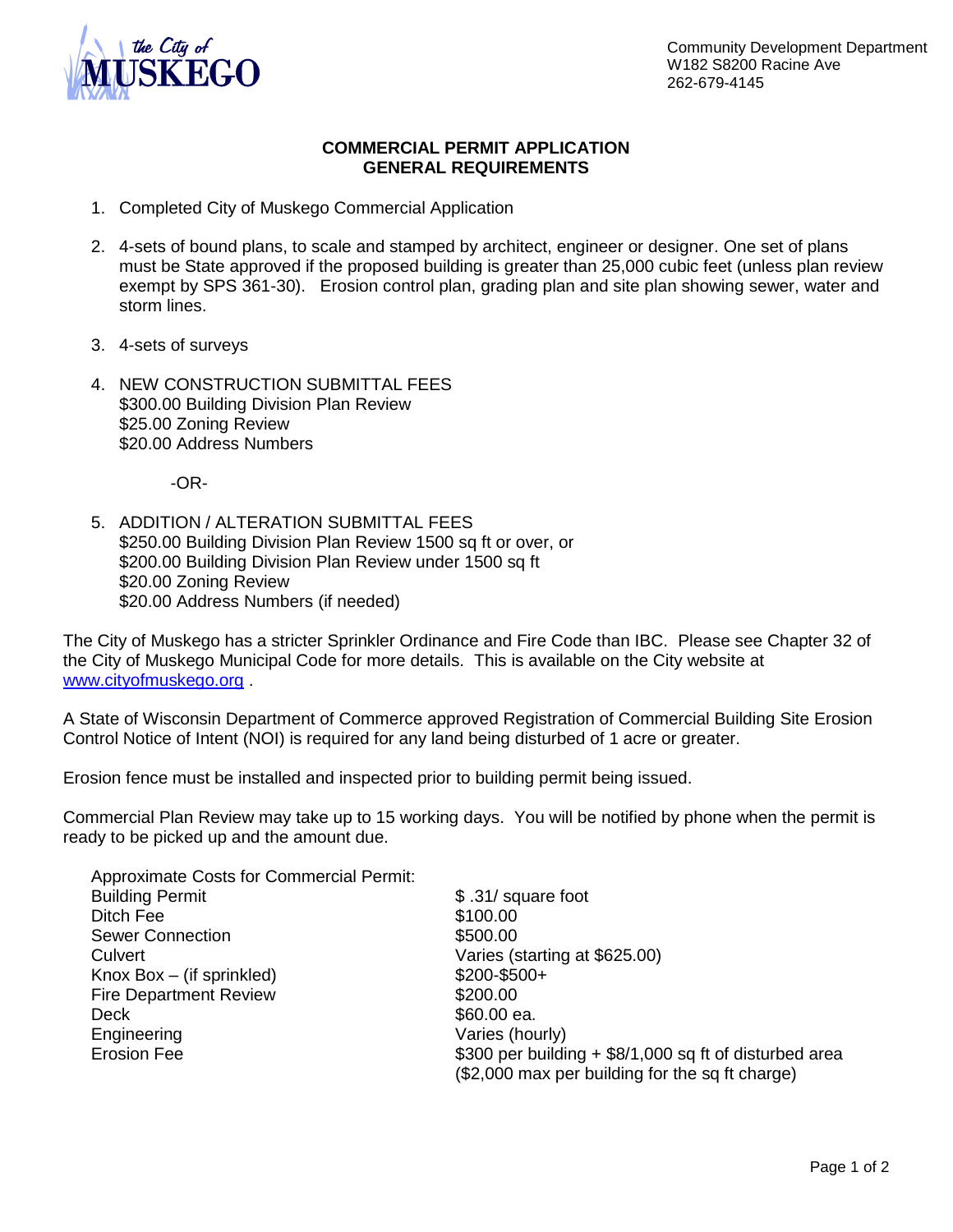

# **COMMERCIAL PERMIT APPLICATION GENERAL REQUIREMENTS**

- 1. Completed City of Muskego Commercial Application
- 2. 4-sets of bound plans, to scale and stamped by architect, engineer or designer. One set of plans must be State approved if the proposed building is greater than 25,000 cubic feet (unless plan review exempt by SPS 361-30). Erosion control plan, grading plan and site plan showing sewer, water and storm lines.
- 3. 4-sets of surveys
- 4. NEW CONSTRUCTION SUBMITTAL FEES \$300.00 Building Division Plan Review \$25.00 Zoning Review \$20.00 Address Numbers

-OR-

5. ADDITION / ALTERATION SUBMITTAL FEES \$250.00 Building Division Plan Review 1500 sq ft or over, or \$200.00 Building Division Plan Review under 1500 sq ft \$20.00 Zoning Review \$20.00 Address Numbers (if needed)

The City of Muskego has a stricter Sprinkler Ordinance and Fire Code than IBC. Please see Chapter 32 of the City of Muskego Municipal Code for more details. This is available on the City website at [www.cityofmuskego.org](http://www.cityofmuskego.org/) .

A State of Wisconsin Department of Commerce approved Registration of Commercial Building Site Erosion Control Notice of Intent (NOI) is required for any land being disturbed of 1 acre or greater.

Erosion fence must be installed and inspected prior to building permit being issued.

Commercial Plan Review may take up to 15 working days. You will be notified by phone when the permit is ready to be picked up and the amount due.

| <b>Approximate Costs for Commercial Permit:</b> |                                                                                                           |
|-------------------------------------------------|-----------------------------------------------------------------------------------------------------------|
| <b>Building Permit</b>                          | \$.31/ square foot                                                                                        |
| Ditch Fee                                       | \$100.00                                                                                                  |
| <b>Sewer Connection</b>                         | \$500.00                                                                                                  |
| Culvert                                         | Varies (starting at \$625.00)                                                                             |
| Knox $Box$ – (if sprinkled)                     | $$200 - $500 +$                                                                                           |
| <b>Fire Department Review</b>                   | \$200.00                                                                                                  |
| Deck                                            | \$60.00 ea.                                                                                               |
| Engineering                                     | Varies (hourly)                                                                                           |
| <b>Erosion Fee</b>                              | \$300 per building + \$8/1,000 sq ft of disturbed area<br>(\$2,000 max per building for the sq ft charge) |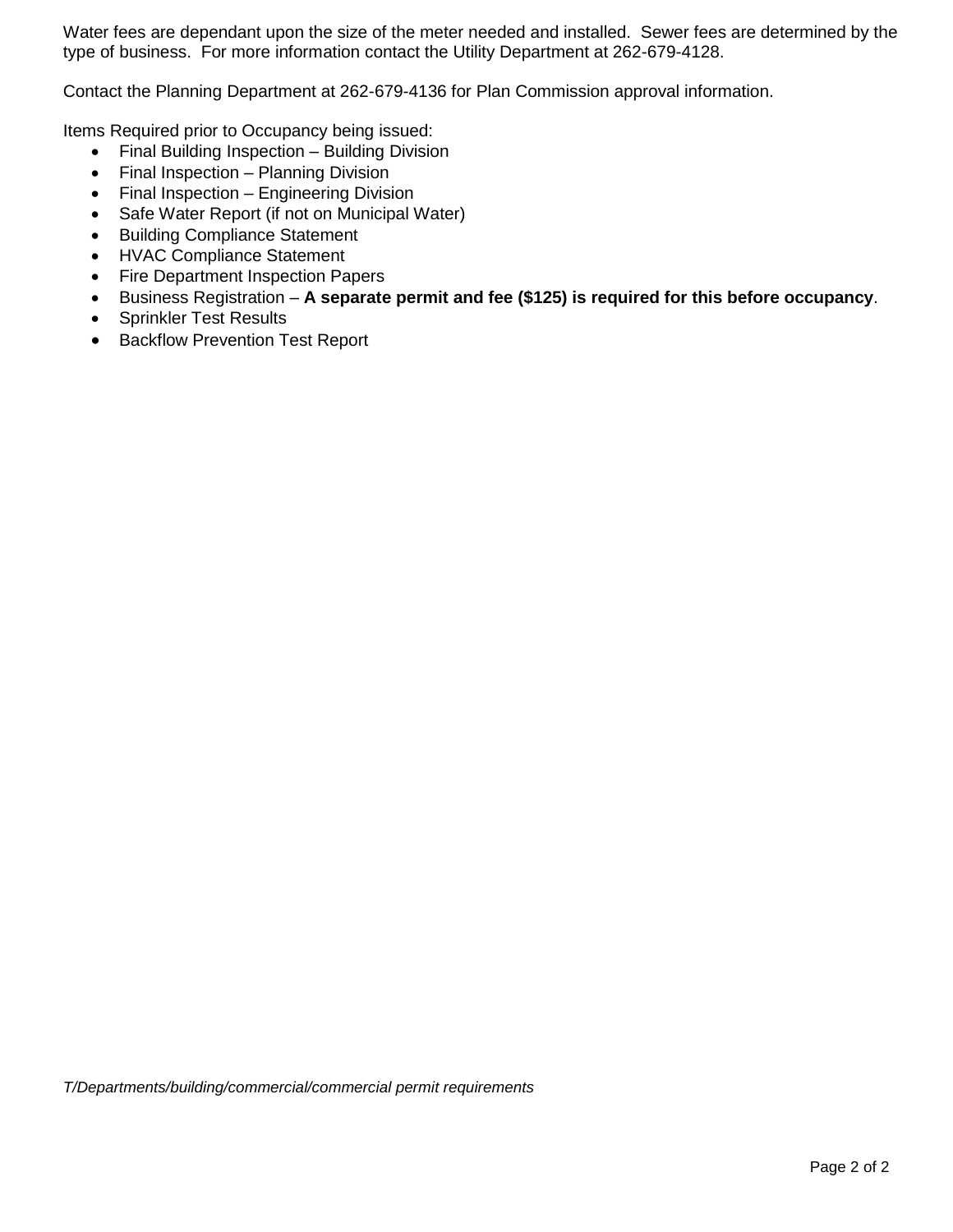Water fees are dependant upon the size of the meter needed and installed. Sewer fees are determined by the type of business. For more information contact the Utility Department at 262-679-4128.

Contact the Planning Department at 262-679-4136 for Plan Commission approval information.

Items Required prior to Occupancy being issued:

- Final Building Inspection Building Division
- Final Inspection Planning Division
- Final Inspection Engineering Division
- Safe Water Report (if not on Municipal Water)
- Building Compliance Statement
- HVAC Compliance Statement
- Fire Department Inspection Papers
- Business Registration **A separate permit and fee (\$125) is required for this before occupancy**.
- Sprinkler Test Results
- Backflow Prevention Test Report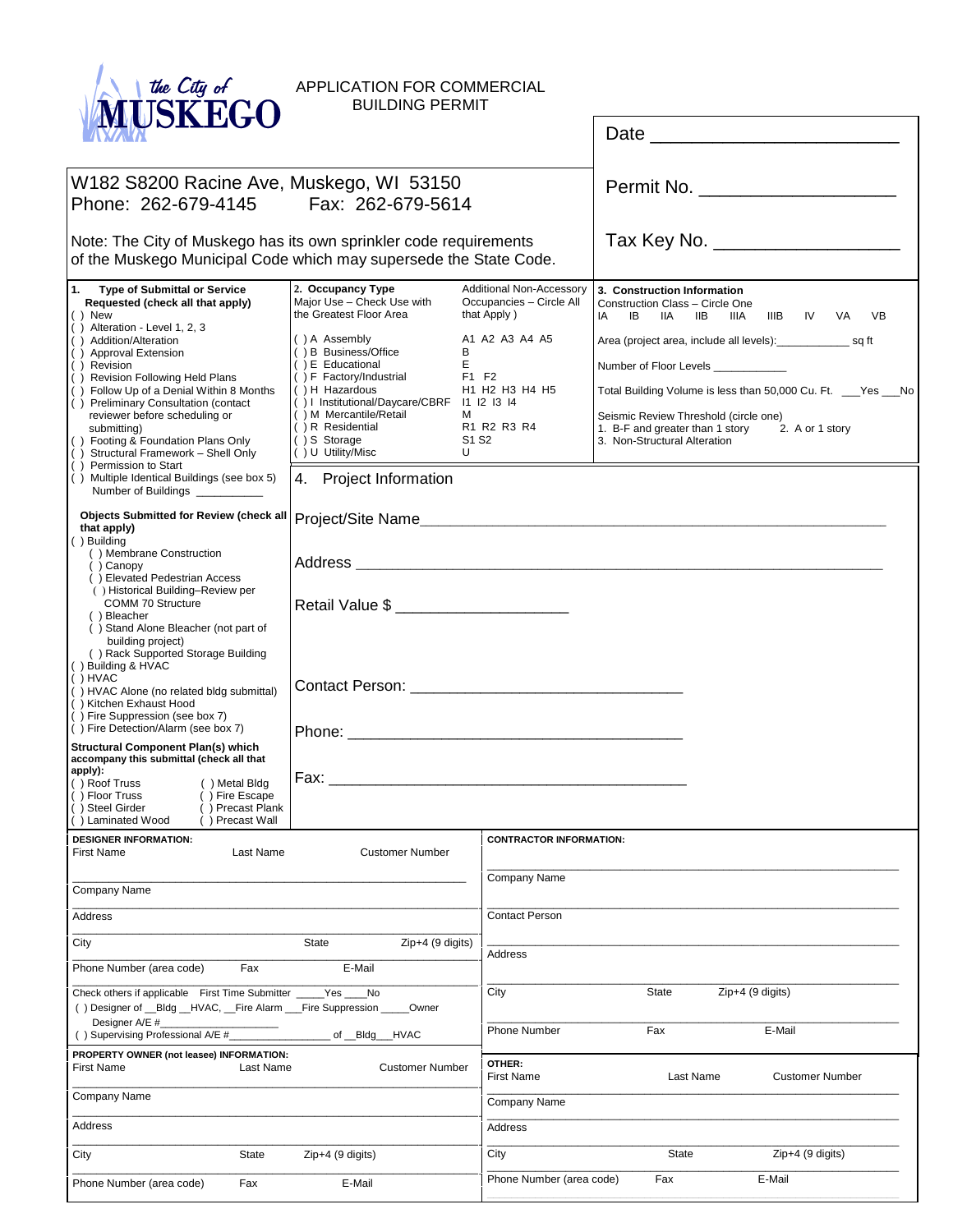

APPLICATION FOR COMMERCIAL BUILDING PERMIT

|                                                                                                                                                                                                                                                                                                                                                                                                                                                                                                                                                                                                                                                                                                                                                                                                                                                                                                                                                                                                                                                                                                                                                                                                                                                                                                           |                                                                                                                                                                                                                                                                                                                                                                                                                                                                                                                                                                                                                                            |                                | Date                                                                                                                                                                                                                           | <u> 1989 - Johann John Stone, markin fizik eta idazlea (</u>                                                                                                                                 |
|-----------------------------------------------------------------------------------------------------------------------------------------------------------------------------------------------------------------------------------------------------------------------------------------------------------------------------------------------------------------------------------------------------------------------------------------------------------------------------------------------------------------------------------------------------------------------------------------------------------------------------------------------------------------------------------------------------------------------------------------------------------------------------------------------------------------------------------------------------------------------------------------------------------------------------------------------------------------------------------------------------------------------------------------------------------------------------------------------------------------------------------------------------------------------------------------------------------------------------------------------------------------------------------------------------------|--------------------------------------------------------------------------------------------------------------------------------------------------------------------------------------------------------------------------------------------------------------------------------------------------------------------------------------------------------------------------------------------------------------------------------------------------------------------------------------------------------------------------------------------------------------------------------------------------------------------------------------------|--------------------------------|--------------------------------------------------------------------------------------------------------------------------------------------------------------------------------------------------------------------------------|----------------------------------------------------------------------------------------------------------------------------------------------------------------------------------------------|
| W182 S8200 Racine Ave, Muskego, WI 53150<br>Phone: 262-679-4145<br>Fax: 262-679-5614                                                                                                                                                                                                                                                                                                                                                                                                                                                                                                                                                                                                                                                                                                                                                                                                                                                                                                                                                                                                                                                                                                                                                                                                                      |                                                                                                                                                                                                                                                                                                                                                                                                                                                                                                                                                                                                                                            |                                |                                                                                                                                                                                                                                | Permit No. _______________________                                                                                                                                                           |
| Note: The City of Muskego has its own sprinkler code requirements                                                                                                                                                                                                                                                                                                                                                                                                                                                                                                                                                                                                                                                                                                                                                                                                                                                                                                                                                                                                                                                                                                                                                                                                                                         |                                                                                                                                                                                                                                                                                                                                                                                                                                                                                                                                                                                                                                            |                                |                                                                                                                                                                                                                                | Tax Key No. ___________________                                                                                                                                                              |
| 1.<br><b>Type of Submittal or Service</b><br>Requested (check all that apply)<br>$()$ New<br>$( )$ Alteration - Level 1, 2, 3<br>() Addition/Alteration<br>() Approval Extension<br>() Revision<br>() Revision Following Held Plans<br>Follow Up of a Denial Within 8 Months<br>() Preliminary Consultation (contact<br>reviewer before scheduling or<br>submitting)<br>() Footing & Foundation Plans Only<br>Structural Framework - Shell Only<br>( )<br>Permission to Start<br>( )<br>() Multiple Identical Buildings (see box 5)<br>Number of Buildings __________<br>that apply)<br>() Building<br>() Membrane Construction<br>() Canopy<br>() Elevated Pedestrian Access<br>() Historical Building-Review per<br>COMM 70 Structure<br>() Bleacher<br>() Stand Alone Bleacher (not part of<br>building project)<br>() Rack Supported Storage Building<br>() Building & HVAC<br>( ) HVAC<br>() HVAC Alone (no related bldg submittal)<br>() Kitchen Exhaust Hood<br>() Fire Suppression (see box 7)<br>() Fire Detection/Alarm (see box 7)<br><b>Structural Component Plan(s) which</b><br>accompany this submittal (check all that<br>apply):<br>() Metal Bldg<br>() Roof Truss<br>() Floor Truss<br>() Fire Escape<br>() Precast Plank<br>() Steel Girder<br>() Precast Wall<br>l ( ) Laminated Wood | of the Muskego Municipal Code which may supersede the State Code.<br>2. Occupancy Type<br>Additional Non-Accessory<br>Major Use - Check Use with<br>Occupancies - Circle All<br>the Greatest Floor Area<br>that Apply)<br>() A Assembly<br>A1 A2 A3 A4 A5<br>() B Business/Office<br>в<br>Е<br>() E Educational<br>() F Factory/Industrial<br>F1 F2<br>() H Hazardous<br>H1 H2 H3 H4 H5<br>() I Institutional/Daycare/CBRF 11 12 13 14<br>() M Mercantile/Retail<br>м<br>R1 R2 R3 R4<br>$( ) R$ Residential<br>() S Storage<br>S1 S2<br>() U Utility/Misc<br>U<br>4. Project Information<br><b>Objects Submitted for Review (check all</b> |                                | 3. Construction Information<br>Construction Class - Circle One<br>IIB<br>IA<br>IIA<br>IB<br>Number of Floor Levels<br>Seismic Review Threshold (circle one)<br>1. B-F and greater than 1 story<br>3. Non-Structural Alteration | IIIB<br>IV<br>VA<br><b>VB</b><br>IIIA<br>Area (project area, include all levels):__________________ sq ft<br>Total Building Volume is less than 50,000 Cu. Ft. __Yes __No<br>2. A or 1 story |
| <b>DESIGNER INFORMATION:</b><br>Last Name<br><b>First Name</b>                                                                                                                                                                                                                                                                                                                                                                                                                                                                                                                                                                                                                                                                                                                                                                                                                                                                                                                                                                                                                                                                                                                                                                                                                                            | <b>Customer Number</b>                                                                                                                                                                                                                                                                                                                                                                                                                                                                                                                                                                                                                     | <b>CONTRACTOR INFORMATION:</b> |                                                                                                                                                                                                                                |                                                                                                                                                                                              |
| Company Name                                                                                                                                                                                                                                                                                                                                                                                                                                                                                                                                                                                                                                                                                                                                                                                                                                                                                                                                                                                                                                                                                                                                                                                                                                                                                              |                                                                                                                                                                                                                                                                                                                                                                                                                                                                                                                                                                                                                                            | Company Name                   |                                                                                                                                                                                                                                |                                                                                                                                                                                              |
| Address                                                                                                                                                                                                                                                                                                                                                                                                                                                                                                                                                                                                                                                                                                                                                                                                                                                                                                                                                                                                                                                                                                                                                                                                                                                                                                   |                                                                                                                                                                                                                                                                                                                                                                                                                                                                                                                                                                                                                                            | <b>Contact Person</b>          |                                                                                                                                                                                                                                |                                                                                                                                                                                              |
| City                                                                                                                                                                                                                                                                                                                                                                                                                                                                                                                                                                                                                                                                                                                                                                                                                                                                                                                                                                                                                                                                                                                                                                                                                                                                                                      | $Zip+4$ (9 digits)<br>State                                                                                                                                                                                                                                                                                                                                                                                                                                                                                                                                                                                                                |                                |                                                                                                                                                                                                                                |                                                                                                                                                                                              |
| Phone Number (area code)<br>Fax                                                                                                                                                                                                                                                                                                                                                                                                                                                                                                                                                                                                                                                                                                                                                                                                                                                                                                                                                                                                                                                                                                                                                                                                                                                                           | E-Mail                                                                                                                                                                                                                                                                                                                                                                                                                                                                                                                                                                                                                                     | Address                        |                                                                                                                                                                                                                                |                                                                                                                                                                                              |
| Check others if applicable First Time Submitter ______Yes _____No<br>() Designer of __Bldg __HVAC, __Fire Alarm ___Fire Suppression                                                                                                                                                                                                                                                                                                                                                                                                                                                                                                                                                                                                                                                                                                                                                                                                                                                                                                                                                                                                                                                                                                                                                                       | Owner                                                                                                                                                                                                                                                                                                                                                                                                                                                                                                                                                                                                                                      | City                           | <b>State</b>                                                                                                                                                                                                                   | $Zip+4$ (9 digits)                                                                                                                                                                           |
| Designer A/E #<br>() Supervising Professional A/E #                                                                                                                                                                                                                                                                                                                                                                                                                                                                                                                                                                                                                                                                                                                                                                                                                                                                                                                                                                                                                                                                                                                                                                                                                                                       | of Bldg HVAC                                                                                                                                                                                                                                                                                                                                                                                                                                                                                                                                                                                                                               | <b>Phone Number</b>            | Fax                                                                                                                                                                                                                            | E-Mail                                                                                                                                                                                       |
| PROPERTY OWNER (not leasee) INFORMATION:<br><b>First Name</b><br>Last Name                                                                                                                                                                                                                                                                                                                                                                                                                                                                                                                                                                                                                                                                                                                                                                                                                                                                                                                                                                                                                                                                                                                                                                                                                                | <b>Customer Number</b>                                                                                                                                                                                                                                                                                                                                                                                                                                                                                                                                                                                                                     | OTHER:<br><b>First Name</b>    | Last Name                                                                                                                                                                                                                      | <b>Customer Number</b>                                                                                                                                                                       |
| Company Name                                                                                                                                                                                                                                                                                                                                                                                                                                                                                                                                                                                                                                                                                                                                                                                                                                                                                                                                                                                                                                                                                                                                                                                                                                                                                              |                                                                                                                                                                                                                                                                                                                                                                                                                                                                                                                                                                                                                                            | Company Name                   |                                                                                                                                                                                                                                |                                                                                                                                                                                              |
| Address                                                                                                                                                                                                                                                                                                                                                                                                                                                                                                                                                                                                                                                                                                                                                                                                                                                                                                                                                                                                                                                                                                                                                                                                                                                                                                   |                                                                                                                                                                                                                                                                                                                                                                                                                                                                                                                                                                                                                                            | Address                        |                                                                                                                                                                                                                                |                                                                                                                                                                                              |
| City<br>State                                                                                                                                                                                                                                                                                                                                                                                                                                                                                                                                                                                                                                                                                                                                                                                                                                                                                                                                                                                                                                                                                                                                                                                                                                                                                             | $Zip+4$ (9 digits)                                                                                                                                                                                                                                                                                                                                                                                                                                                                                                                                                                                                                         | City                           | <b>State</b>                                                                                                                                                                                                                   | $Zip+4 (9 digits)$                                                                                                                                                                           |
| Phone Number (area code)<br>Fax                                                                                                                                                                                                                                                                                                                                                                                                                                                                                                                                                                                                                                                                                                                                                                                                                                                                                                                                                                                                                                                                                                                                                                                                                                                                           | E-Mail                                                                                                                                                                                                                                                                                                                                                                                                                                                                                                                                                                                                                                     | Phone Number (area code)       | Fax                                                                                                                                                                                                                            | E-Mail                                                                                                                                                                                       |

\_\_\_\_\_\_\_\_\_\_\_\_\_\_\_\_\_\_\_\_\_\_\_\_\_\_\_\_\_\_\_\_\_\_\_\_\_\_\_\_\_\_\_\_\_\_\_\_\_\_\_\_\_\_\_\_\_\_\_\_\_\_\_\_\_\_\_\_

\_\_\_\_\_\_\_\_\_\_\_\_\_\_\_\_\_\_\_\_\_\_\_\_\_\_\_\_\_\_\_\_\_\_\_\_\_\_\_\_\_\_\_\_\_\_\_\_\_\_\_\_\_\_\_\_\_\_\_\_\_\_\_\_\_\_\_\_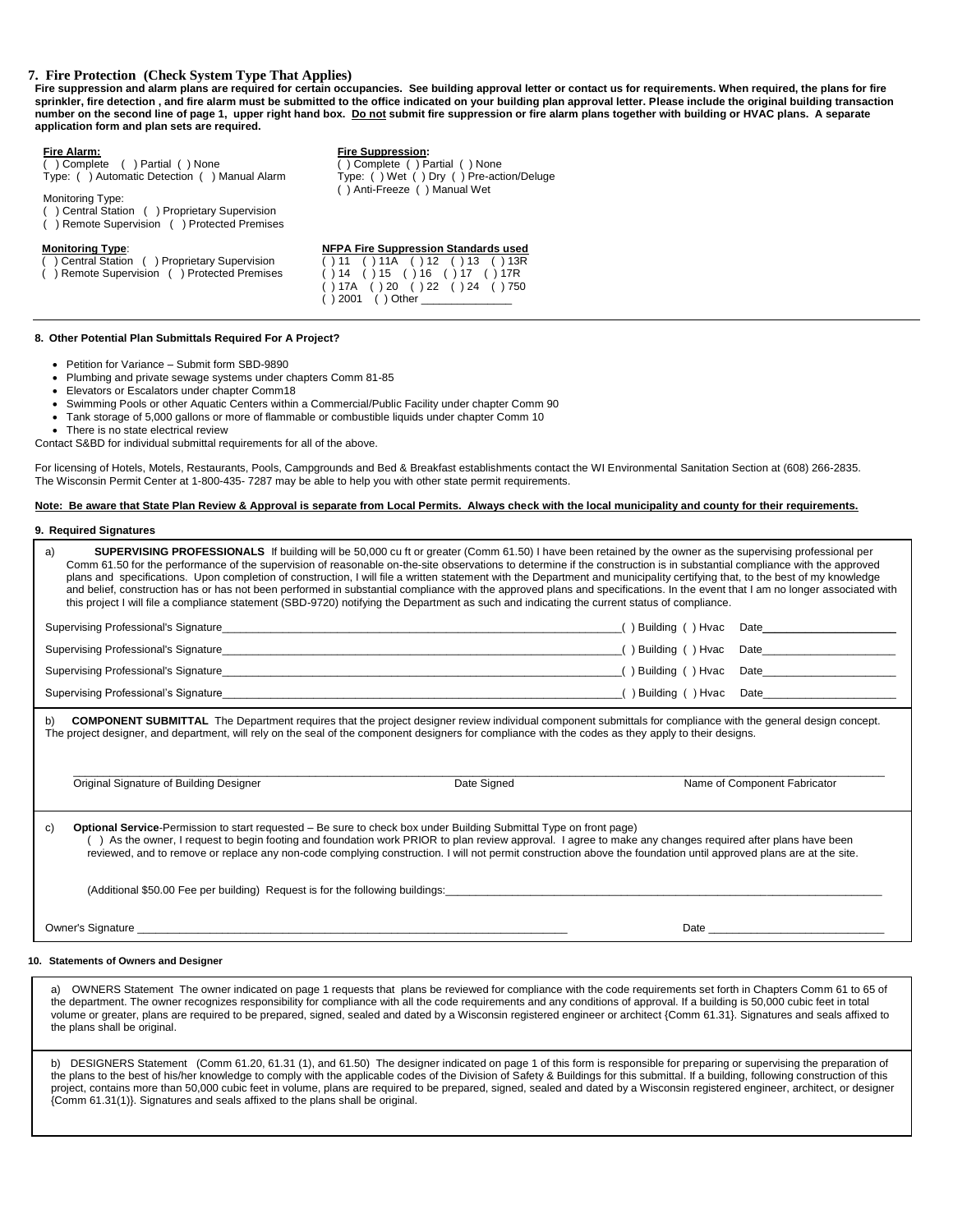## **7. Fire Protection (Check System Type That Applies)**

Fire suppression and alarm plans are required for certain occupancies. See building approval letter or contact us for requirements. When required, the plans for fire **sprinkler, fire detection , and fire alarm must be submitted to the office indicated on your building plan approval letter. Please include the original building transaction number on the second line of page 1, upper right hand box. Do not submit fire suppression or fire alarm plans together with building or HVAC plans. A separate application form and plan sets are required.**

### **Fire Alarm: Fire Suppression:**

( ) Complete ( ) Partial ( ) None Type: ( ) Automatic Detection ( ) Manual Alarm

Monitoring Type:

- ( ) Central Station ( ) Proprietary Supervision
- ( ) Remote Supervision ( ) Protected Premises

#### **Monitoring Type:**

( ) Central Station ( ) Proprietary Supervision ) Remote Supervision ( ) Protected Premises

| <b>NFPA Fire Suppression Standards used</b> |
|---------------------------------------------|
| ( ) 11 ( ) 11A ( ) 12 ( ) 13 ( ) 13R        |
| ( ) 14 ( ) 15 ( ) 16 ( ) 17 ( ) 17R         |
| ( ) 17A ( ) 20 ( ) 22 ( ) 24 ( ) 750        |
| () 2001 () Other                            |

( ) Complete ( ) Partial ( ) None Type: ( ) Wet ( ) Dry ( ) Pre-action/Deluge

( ) Anti-Freeze ( ) Manual Wet

#### **8. Other Potential Plan Submittals Required For A Project?**

- Petition for Variance Submit form SBD-9890
- Plumbing and private sewage systems under chapters Comm 81-85
- Elevators or Escalators under chapter Comm18
- Swimming Pools or other Aquatic Centers within a Commercial/Public Facility under chapter Comm 90
- Tank storage of 5,000 gallons or more of flammable or combustible liquids under chapter Comm 10
- There is no state electrical review

Contact S&BD for individual submittal requirements for all of the above.

For licensing of Hotels, Motels, Restaurants, Pools, Campgrounds and Bed & Breakfast establishments contact the WI Environmental Sanitation Section at (608) 266-2835. The Wisconsin Permit Center at 1-800-435- 7287 may be able to help you with other state permit requirements.

#### **Note: Be aware that State Plan Review & Approval is separate from Local Permits. Always check with the local municipality and county for their requirements.**

#### **9. Required Signatures**

| <b>SUPERVISING PROFESSIONALS</b> If building will be 50,000 cu ft or greater (Comm 61.50) I have been retained by the owner as the supervising professional per<br>a)<br>Comm 61.50 for the performance of the supervision of reasonable on-the-site observations to determine if the construction is in substantial compliance with the approved<br>plans and specifications. Upon completion of construction, I will file a written statement with the Department and municipality certifying that, to the best of my knowledge<br>and belief, construction has or has not been performed in substantial compliance with the approved plans and specifications. In the event that I am no longer associated with<br>this project I will file a compliance statement (SBD-9720) notifying the Department as such and indicating the current status of compliance. |             |                   |                                                 |  |
|--------------------------------------------------------------------------------------------------------------------------------------------------------------------------------------------------------------------------------------------------------------------------------------------------------------------------------------------------------------------------------------------------------------------------------------------------------------------------------------------------------------------------------------------------------------------------------------------------------------------------------------------------------------------------------------------------------------------------------------------------------------------------------------------------------------------------------------------------------------------|-------------|-------------------|-------------------------------------------------|--|
|                                                                                                                                                                                                                                                                                                                                                                                                                                                                                                                                                                                                                                                                                                                                                                                                                                                                    |             | ()Building ()Hvac |                                                 |  |
| Supervising Professional's Signature <b>Constitution and Constitution</b> and Constitution and Constitution and Constitution and Constitution and Constitution and Constitution and Constitution and Constitution and Constitution                                                                                                                                                                                                                                                                                                                                                                                                                                                                                                                                                                                                                                 |             |                   |                                                 |  |
|                                                                                                                                                                                                                                                                                                                                                                                                                                                                                                                                                                                                                                                                                                                                                                                                                                                                    |             |                   | () Building () Hvac Date_______________________ |  |
|                                                                                                                                                                                                                                                                                                                                                                                                                                                                                                                                                                                                                                                                                                                                                                                                                                                                    |             |                   |                                                 |  |
| <b>COMPONENT SUBMITTAL</b> The Department requires that the project designer review individual component submittals for compliance with the general design concept.<br>b)<br>The project designer, and department, will rely on the seal of the component designers for compliance with the codes as they apply to their designs.<br>Original Signature of Building Designer                                                                                                                                                                                                                                                                                                                                                                                                                                                                                       | Date Signed |                   | Name of Component Fabricator                    |  |
| <b>Optional Service-Permission to start requested – Be sure to check box under Building Submittal Type on front page)</b><br>C)<br>() As the owner, I request to begin footing and foundation work PRIOR to plan review approval. I agree to make any changes required after plans have been<br>reviewed, and to remove or replace any non-code complying construction. I will not permit construction above the foundation until approved plans are at the site.                                                                                                                                                                                                                                                                                                                                                                                                  |             |                   |                                                 |  |
| (Additional \$50.00 Fee per building) Request is for the following buildings:                                                                                                                                                                                                                                                                                                                                                                                                                                                                                                                                                                                                                                                                                                                                                                                      |             |                   |                                                 |  |
| Owner's Signature experience and the state of the state of the state of the state of the state of the state of                                                                                                                                                                                                                                                                                                                                                                                                                                                                                                                                                                                                                                                                                                                                                     |             |                   |                                                 |  |
| $\mathbf{a}$ and $\mathbf{a}$ are a set of $\mathbf{a}$ and $\mathbf{a}$ are a set of $\mathbf{a}$ and                                                                                                                                                                                                                                                                                                                                                                                                                                                                                                                                                                                                                                                                                                                                                             |             |                   |                                                 |  |

**10. Statements of Owners and Designer**

a) OWNERS Statement The owner indicated on page 1 requests that plans be reviewed for compliance with the code requirements set forth in Chapters Comm 61 to 65 of the department. The owner recognizes responsibility for compliance with all the code requirements and any conditions of approval. If a building is 50,000 cubic feet in total volume or greater, plans are required to be prepared, signed, sealed and dated by a Wisconsin registered engineer or architect {Comm 61.31}. Signatures and seals affixed to the plans shall be original.

b) DESIGNERS Statement (Comm 61.20, 61.31 (1), and 61.50) The designer indicated on page 1 of this form is responsible for preparing or supervising the preparation of the plans to the best of his/her knowledge to comply with the applicable codes of the Division of Safety & Buildings for this submittal. If a building, following construction of this project, contains more than 50,000 cubic feet in volume, plans are required to be prepared, signed, sealed and dated by a Wisconsin registered engineer, architect, or designer {Comm 61.31(1)}. Signatures and seals affixed to the plans shall be original.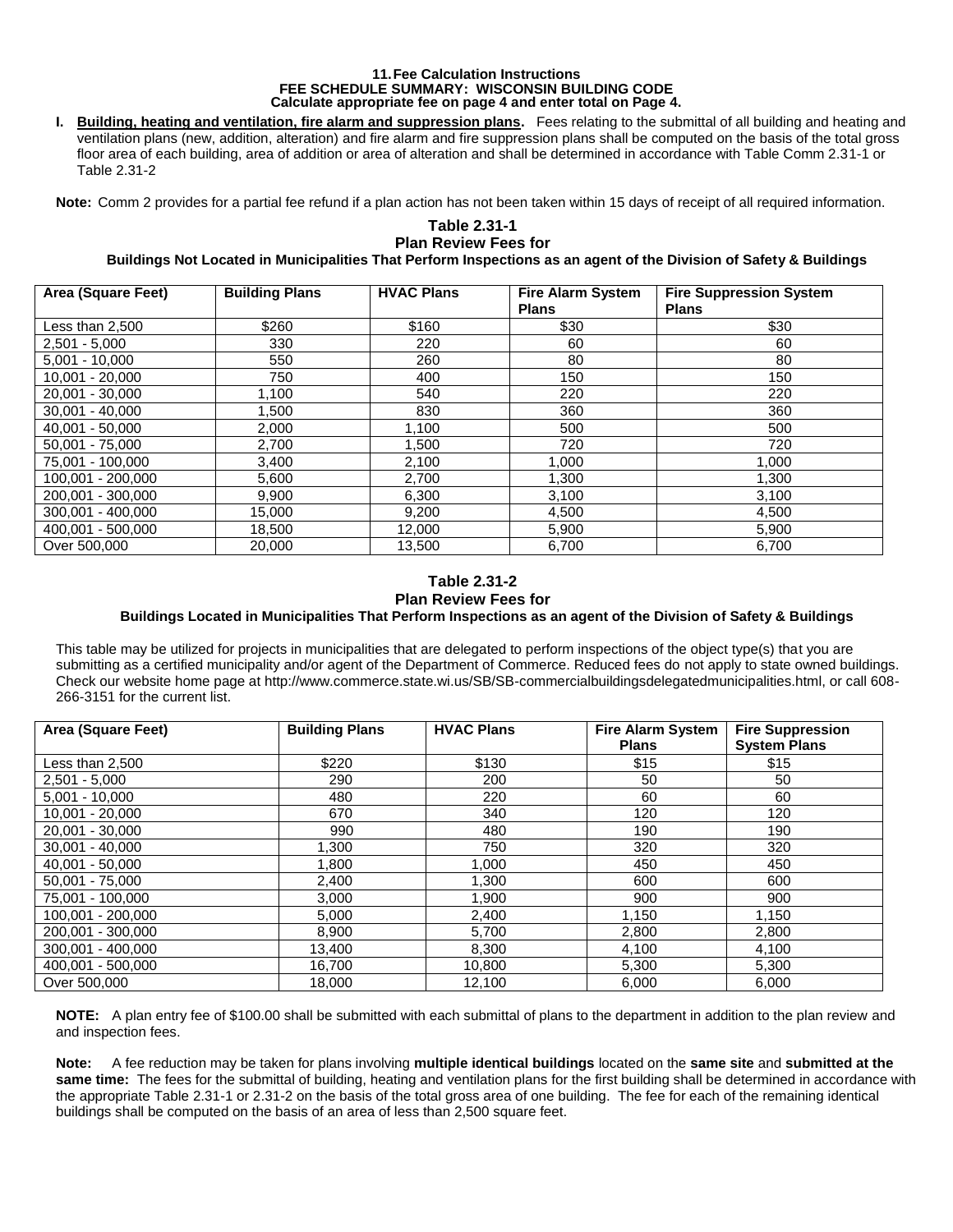## **11.Fee Calculation Instructions FEE SCHEDULE SUMMARY: WISCONSIN BUILDING CODE Calculate appropriate fee on page 4 and enter total on Page 4.**

**I. Building, heating and ventilation, fire alarm and suppression plans.** Fees relating to the submittal of all building and heating and ventilation plans (new, addition, alteration) and fire alarm and fire suppression plans shall be computed on the basis of the total gross floor area of each building, area of addition or area of alteration and shall be determined in accordance with Table Comm 2.31-1 or Table 2.31-2

**Note:** Comm 2 provides for a partial fee refund if a plan action has not been taken within 15 days of receipt of all required information.

## **Table 2.31-1 Plan Review Fees for**

**Buildings Not Located in Municipalities That Perform Inspections as an agent of the Division of Safety & Buildings**

| Area (Square Feet) | <b>Building Plans</b> | <b>HVAC Plans</b> | <b>Fire Alarm System</b> | <b>Fire Suppression System</b> |
|--------------------|-----------------------|-------------------|--------------------------|--------------------------------|
|                    |                       |                   | <b>Plans</b>             | <b>Plans</b>                   |
| Less than 2,500    | \$260                 | \$160             | \$30                     | \$30                           |
| $2,501 - 5,000$    | 330                   | 220               | 60                       | 60                             |
| $5,001 - 10,000$   | 550                   | 260               | 80                       | 80                             |
| $10,001 - 20,000$  | 750                   | 400               | 150                      | 150                            |
| 20,001 - 30,000    | 1,100                 | 540               | 220                      | 220                            |
| $30,001 - 40,000$  | 1,500                 | 830               | 360                      | 360                            |
| $40,001 - 50,000$  | 2,000                 | 1,100             | 500                      | 500                            |
| $50,001 - 75,000$  | 2,700                 | 1.500             | 720                      | 720                            |
| 75,001 - 100,000   | 3,400                 | 2,100             | 1,000                    | 1,000                          |
| 100,001 - 200,000  | 5,600                 | 2,700             | 1,300                    | 1,300                          |
| 200.001 - 300.000  | 9,900                 | 6,300             | 3,100                    | 3,100                          |
| 300,001 - 400,000  | 15,000                | 9,200             | 4,500                    | 4,500                          |
| 400.001 - 500.000  | 18,500                | 12,000            | 5,900                    | 5,900                          |
| Over 500,000       | 20,000                | 13,500            | 6,700                    | 6,700                          |

## **Table 2.31-2 Plan Review Fees for Buildings Located in Municipalities That Perform Inspections as an agent of the Division of Safety & Buildings**

This table may be utilized for projects in municipalities that are delegated to perform inspections of the object type(s) that you are submitting as a certified municipality and/or agent of the Department of Commerce. Reduced fees do not apply to state owned buildings. Check our website home page at http://www.commerce.state.wi.us/SB/SB-commercialbuildingsdelegatedmunicipalities.html, or call 608- 266-3151 for the current list.

| Area (Square Feet) | <b>Building Plans</b> | <b>HVAC Plans</b> | <b>Fire Alarm System</b> | <b>Fire Suppression</b> |
|--------------------|-----------------------|-------------------|--------------------------|-------------------------|
|                    |                       |                   | <b>Plans</b>             | <b>System Plans</b>     |
| Less than 2,500    | \$220                 | \$130             | \$15                     | \$15                    |
| $2,501 - 5,000$    | 290                   | 200               | 50                       | 50                      |
| $5,001 - 10,000$   | 480                   | 220               | 60                       | 60                      |
| $10,001 - 20,000$  | 670                   | 340               | 120                      | 120                     |
| 20,001 - 30,000    | 990                   | 480               | 190                      | 190                     |
| $30,001 - 40,000$  | 1,300                 | 750               | 320                      | 320                     |
| $40,001 - 50,000$  | 1,800                 | 1,000             | 450                      | 450                     |
| $50,001 - 75,000$  | 2,400                 | 1,300             | 600                      | 600                     |
| 75,001 - 100,000   | 3,000                 | 1,900             | 900                      | 900                     |
| 100,001 - 200,000  | 5,000                 | 2,400             | 1,150                    | 1,150                   |
| 200,001 - 300,000  | 8,900                 | 5,700             | 2,800                    | 2,800                   |
| 300,001 - 400,000  | 13,400                | 8,300             | 4,100                    | 4,100                   |
| 400,001 - 500,000  | 16,700                | 10,800            | 5,300                    | 5,300                   |
| Over 500,000       | 18.000                | 12.100            | 6.000                    | 6.000                   |

**NOTE:** A plan entry fee of \$100.00 shall be submitted with each submittal of plans to the department in addition to the plan review and and inspection fees.

**Note:** A fee reduction may be taken for plans involving **multiple identical buildings** located on the **same site** and **submitted at the same time:** The fees for the submittal of building, heating and ventilation plans for the first building shall be determined in accordance with the appropriate Table 2.31-1 or 2.31-2 on the basis of the total gross area of one building. The fee for each of the remaining identical buildings shall be computed on the basis of an area of less than 2,500 square feet.